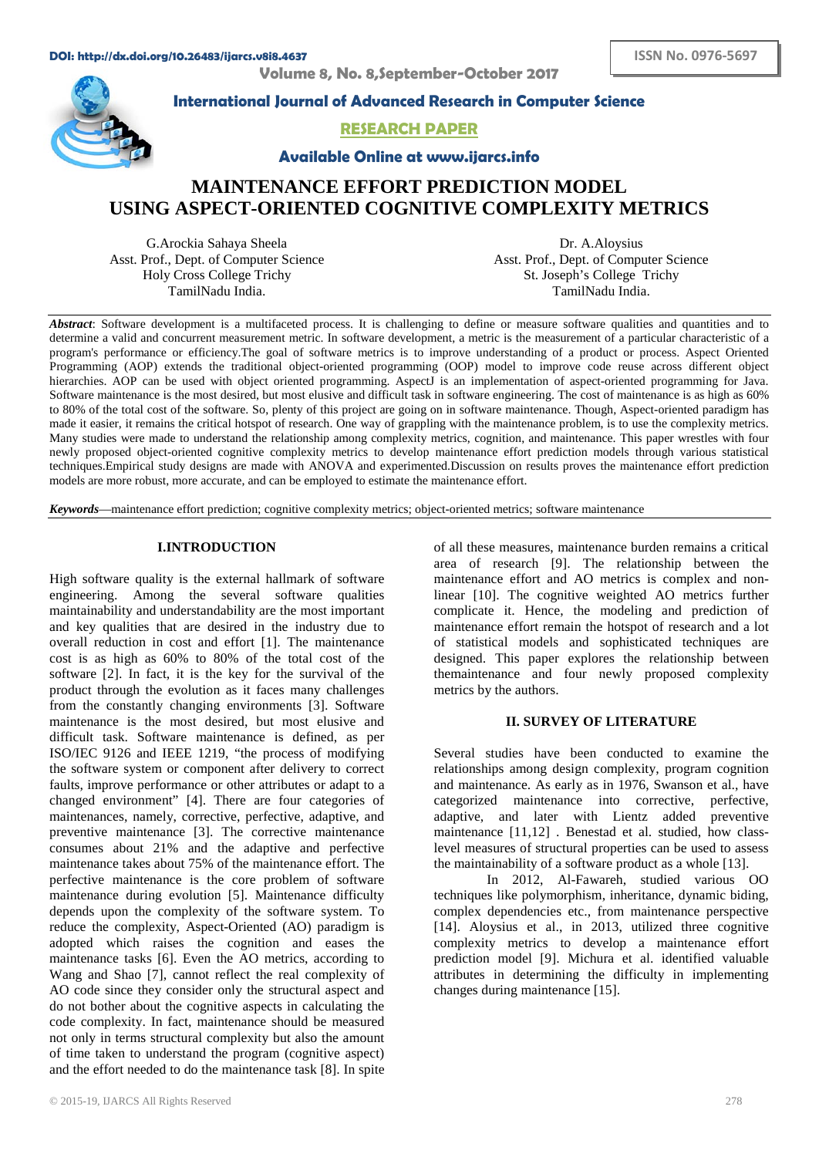**Volume 8, No. 8,September-October 2017**



**International Journal of Advanced Research in Computer Science**

## **RESEARCH PAPER**

**Available Online at www.ijarcs.info**

# **MAINTENANCE EFFORT PREDICTION MODEL USING ASPECT-ORIENTED COGNITIVE COMPLEXITY METRICS**

G.Arockia Sahaya Sheela Asst. Prof., Dept. of Computer Science Holy Cross College Trichy TamilNadu India.

Dr. A.Aloysius Asst. Prof., Dept. of Computer Science St. Joseph's College Trichy TamilNadu India.

*Abstract*: Software development is a multifaceted process. It is challenging to define or measure software qualities and quantities and to determine a valid and concurrent measurement metric. In software development, a metric is the measurement of a particular characteristic of a program's performance or efficiency.The goal of software metrics is to improve understanding of a product or process. Aspect Oriented Programming (AOP) extends the traditional object-oriented programming (OOP) model to improve code reuse across different object hierarchies. AOP can be used with object oriented programming. AspectJ is an implementation of aspect-oriented programming for Java. Software maintenance is the most desired, but most elusive and difficult task in software engineering. The cost of maintenance is as high as 60% to 80% of the total cost of the software. So, plenty of this project are going on in software maintenance. Though, Aspect-oriented paradigm has made it easier, it remains the critical hotspot of research. One way of grappling with the maintenance problem, is to use the complexity metrics. Many studies were made to understand the relationship among complexity metrics, cognition, and maintenance. This paper wrestles with four newly proposed object-oriented cognitive complexity metrics to develop maintenance effort prediction models through various statistical techniques.Empirical study designs are made with ANOVA and experimented.Discussion on results proves the maintenance effort prediction models are more robust, more accurate, and can be employed to estimate the maintenance effort.

*Keywords*—maintenance effort prediction; cognitive complexity metrics; object-oriented metrics; software maintenance

## **I.INTRODUCTION**

High software quality is the external hallmark of software engineering. Among the several software qualities maintainability and understandability are the most important and key qualities that are desired in the industry due to overall reduction in cost and effort [1]. The maintenance cost is as high as 60% to 80% of the total cost of the software [2]. In fact, it is the key for the survival of the product through the evolution as it faces many challenges from the constantly changing environments [3]. Software maintenance is the most desired, but most elusive and difficult task. Software maintenance is defined, as per ISO/IEC 9126 and IEEE 1219, "the process of modifying the software system or component after delivery to correct faults, improve performance or other attributes or adapt to a changed environment" [4]. There are four categories of maintenances, namely, corrective, perfective, adaptive, and preventive maintenance [3]. The corrective maintenance consumes about 21% and the adaptive and perfective maintenance takes about 75% of the maintenance effort. The perfective maintenance is the core problem of software maintenance during evolution [5]. Maintenance difficulty depends upon the complexity of the software system. To reduce the complexity, Aspect-Oriented (AO) paradigm is adopted which raises the cognition and eases the maintenance tasks [6]. Even the AO metrics, according to Wang and Shao [7], cannot reflect the real complexity of AO code since they consider only the structural aspect and do not bother about the cognitive aspects in calculating the code complexity. In fact, maintenance should be measured not only in terms structural complexity but also the amount of time taken to understand the program (cognitive aspect) and the effort needed to do the maintenance task [8]. In spite

of all these measures, maintenance burden remains a critical area of research [9]. The relationship between the maintenance effort and AO metrics is complex and nonlinear [10]. The cognitive weighted AO metrics further complicate it. Hence, the modeling and prediction of maintenance effort remain the hotspot of research and a lot of statistical models and sophisticated techniques are designed. This paper explores the relationship between themaintenance and four newly proposed complexity metrics by the authors.

## **II. SURVEY OF LITERATURE**

Several studies have been conducted to examine the relationships among design complexity, program cognition and maintenance. As early as in 1976, Swanson et al., have categorized maintenance into corrective, perfective, adaptive, and later with Lientz added preventive maintenance [11,12] . Benestad et al. studied, how classlevel measures of structural properties can be used to assess the maintainability of a software product as a whole [13].

In 2012, Al-Fawareh, studied various OO techniques like polymorphism, inheritance, dynamic biding, complex dependencies etc., from maintenance perspective [14]. Aloysius et al., in 2013, utilized three cognitive complexity metrics to develop a maintenance effort prediction model [9]. Michura et al. identified valuable attributes in determining the difficulty in implementing changes during maintenance [15].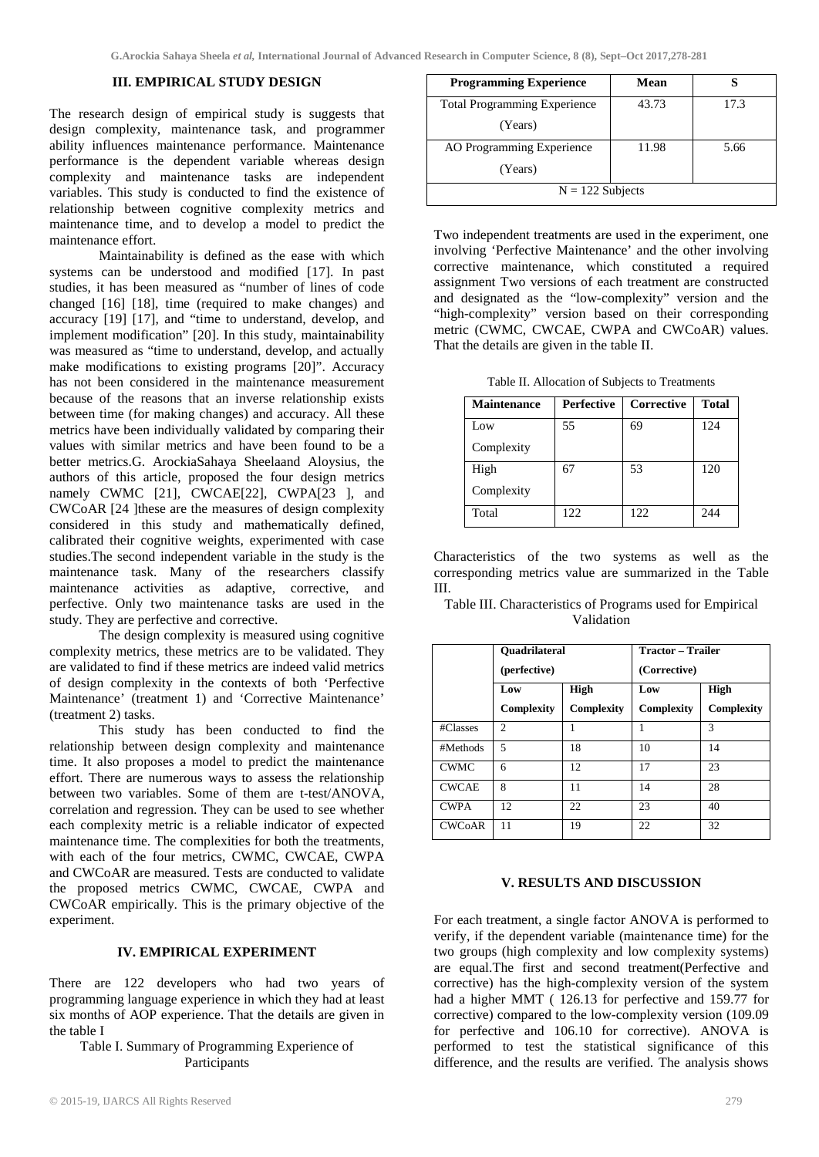## **III. EMPIRICAL STUDY DESIGN**

The research design of empirical study is suggests that design complexity, maintenance task, and programmer ability influences maintenance performance. Maintenance performance is the dependent variable whereas design complexity and maintenance tasks are independent variables. This study is conducted to find the existence of relationship between cognitive complexity metrics and maintenance time, and to develop a model to predict the maintenance effort.

Maintainability is defined as the ease with which systems can be understood and modified [17]. In past studies, it has been measured as "number of lines of code changed [16] [18], time (required to make changes) and accuracy [19] [17], and "time to understand, develop, and implement modification" [20]. In this study, maintainability was measured as "time to understand, develop, and actually make modifications to existing programs [20]". Accuracy has not been considered in the maintenance measurement because of the reasons that an inverse relationship exists between time (for making changes) and accuracy. All these metrics have been individually validated by comparing their values with similar metrics and have been found to be a better metrics.G. ArockiaSahaya Sheelaand Aloysius, the authors of this article, proposed the four design metrics namely CWMC [21], CWCAE[22], CWPA[23 ], and CWCoAR [24 ]these are the measures of design complexity considered in this study and mathematically defined, calibrated their cognitive weights, experimented with case studies.The second independent variable in the study is the maintenance task. Many of the researchers classify maintenance activities as adaptive, corrective, and perfective. Only two maintenance tasks are used in the study. They are perfective and corrective.

The design complexity is measured using cognitive complexity metrics, these metrics are to be validated. They are validated to find if these metrics are indeed valid metrics of design complexity in the contexts of both 'Perfective Maintenance' (treatment 1) and 'Corrective Maintenance' (treatment 2) tasks.

This study has been conducted to find the relationship between design complexity and maintenance time. It also proposes a model to predict the maintenance effort. There are numerous ways to assess the relationship between two variables. Some of them are t-test/ANOVA, correlation and regression. They can be used to see whether each complexity metric is a reliable indicator of expected maintenance time. The complexities for both the treatments, with each of the four metrics, CWMC, CWCAE, CWPA and CWCoAR are measured. Tests are conducted to validate the proposed metrics CWMC, CWCAE, CWPA and CWCoAR empirically. This is the primary objective of the experiment.

#### **IV. EMPIRICAL EXPERIMENT**

There are 122 developers who had two years of programming language experience in which they had at least six months of AOP experience. That the details are given in the table I

Table I. Summary of Programming Experience of Participants

| <b>Programming Experience</b>       | Mean  |      |  |  |
|-------------------------------------|-------|------|--|--|
| <b>Total Programming Experience</b> | 43.73 | 17.3 |  |  |
| (Years)                             |       |      |  |  |
| AO Programming Experience           | 11.98 | 5.66 |  |  |
| (Years)                             |       |      |  |  |
| $N = 122$ Subjects                  |       |      |  |  |

Two independent treatments are used in the experiment, one involving 'Perfective Maintenance' and the other involving corrective maintenance, which constituted a required assignment Two versions of each treatment are constructed and designated as the "low-complexity" version and the "high-complexity" version based on their corresponding metric (CWMC, CWCAE, CWPA and CWCoAR) values. That the details are given in the table II.

Table II. Allocation of Subjects to Treatments

| <b>Maintenance</b> | <b>Perfective</b> | <b>Corrective</b> | <b>Total</b> |
|--------------------|-------------------|-------------------|--------------|
| Low                | 55                | 69                | 124          |
| Complexity         |                   |                   |              |
| High               | 67                | 53                | 120          |
| Complexity         |                   |                   |              |
| Total              | 122               | 122.              | 244          |

Characteristics of the two systems as well as the corresponding metrics value are summarized in the Table III.

Table III. Characteristics of Programs used for Empirical Validation

|               | <b>Ouadrilateral</b><br>(perfective) |                           | Tractor – Trailer<br>(Corrective) |                           |
|---------------|--------------------------------------|---------------------------|-----------------------------------|---------------------------|
|               | Low<br>Complexity                    | <b>High</b><br>Complexity | Low<br>Complexity                 | <b>High</b><br>Complexity |
| #Classes      | $\mathfrak{D}$                       |                           |                                   | $\mathcal{R}$             |
| #Methods      | $\overline{5}$                       | 18                        | 10                                | 14                        |
| <b>CWMC</b>   | 6                                    | 12                        | 17                                | 23                        |
| <b>CWCAE</b>  | 8                                    | 11                        | 14                                | 28                        |
| <b>CWPA</b>   | 12                                   | 22                        | 23                                | 40                        |
| <b>CWCoAR</b> | 11                                   | 19                        | 22                                | 32                        |

## **V. RESULTS AND DISCUSSION**

For each treatment, a single factor ANOVA is performed to verify, if the dependent variable (maintenance time) for the two groups (high complexity and low complexity systems) are equal.The first and second treatment(Perfective and corrective) has the high-complexity version of the system had a higher MMT ( 126.13 for perfective and 159.77 for corrective) compared to the low-complexity version (109.09 for perfective and 106.10 for corrective). ANOVA is performed to test the statistical significance of this difference, and the results are verified. The analysis shows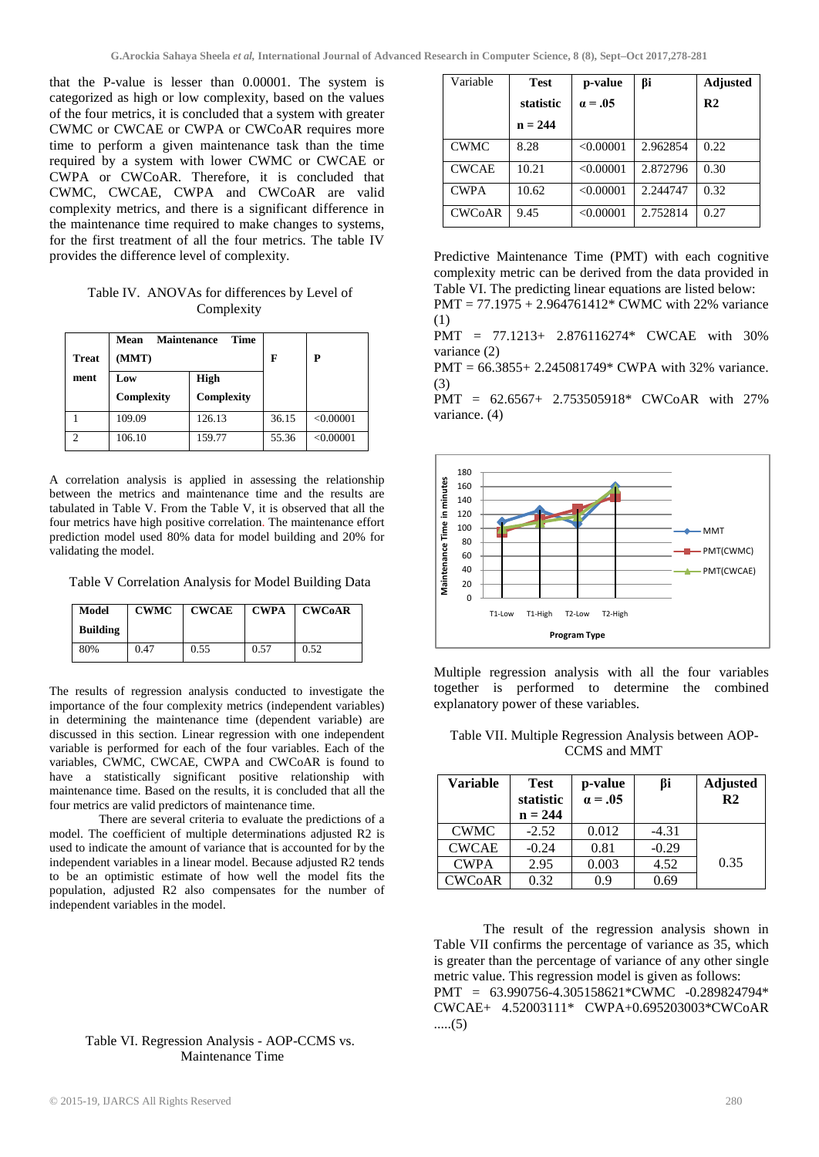that the P-value is lesser than 0.00001. The system is categorized as high or low complexity, based on the values of the four metrics, it is concluded that a system with greater CWMC or CWCAE or CWPA or CWCoAR requires more time to perform a given maintenance task than the time required by a system with lower CWMC or CWCAE or CWPA or CWCoAR. Therefore, it is concluded that CWMC, CWCAE, CWPA and CWCoAR are valid complexity metrics, and there is a significant difference in the maintenance time required to make changes to systems, for the first treatment of all the four metrics. The table IV provides the difference level of complexity.

Table IV. ANOVAs for differences by Level of Complexity

| <b>Treat</b> | <b>Time</b><br><b>Maintenance</b><br>Mean<br>(MMT) |            | F     | P         |
|--------------|----------------------------------------------------|------------|-------|-----------|
| ment         | Low                                                | High       |       |           |
|              | Complexity                                         | Complexity |       |           |
|              | 109.09                                             | 126.13     | 36.15 | < 0.00001 |
|              | 106.10                                             | 159.77     | 55.36 | < 0.00001 |

A correlation analysis is applied in assessing the relationship between the metrics and maintenance time and the results are tabulated in Table V. From the Table V, it is observed that all the four metrics have high positive correlation. The maintenance effort prediction model used 80% data for model building and 20% for validating the model.

Table V Correlation Analysis for Model Building Data

| Model    | <b>CWMC</b> | <b>CWCAE</b> | <b>CWPA</b> | <b>CWCoAR</b> |
|----------|-------------|--------------|-------------|---------------|
| Building |             |              |             |               |
| 80%      | 0.47        | 0.55         | 0.57        | 0.52          |

The results of regression analysis conducted to investigate the importance of the four complexity metrics (independent variables) in determining the maintenance time (dependent variable) are discussed in this section. Linear regression with one independent variable is performed for each of the four variables. Each of the variables, CWMC, CWCAE, CWPA and CWCoAR is found to have a statistically significant positive relationship with maintenance time. Based on the results, it is concluded that all the four metrics are valid predictors of maintenance time.

There are several criteria to evaluate the predictions of a model. The coefficient of multiple determinations adjusted R2 is used to indicate the amount of variance that is accounted for by the independent variables in a linear model. Because adjusted R2 tends to be an optimistic estimate of how well the model fits the population, adjusted R2 also compensates for the number of independent variables in the model.

## Table VI. Regression Analysis - AOP-CCMS vs. Maintenance Time

| Variable      | <b>Test</b> | p-value        | βi       | <b>Adjusted</b> |
|---------------|-------------|----------------|----------|-----------------|
|               | statistic   | $\alpha = .05$ |          | R <sub>2</sub>  |
|               | $n = 244$   |                |          |                 |
| <b>CWMC</b>   | 8.28        | < 0.00001      | 2.962854 | 0.22            |
| <b>CWCAE</b>  | 10.21       | < 0.00001      | 2.872796 | 0.30            |
| <b>CWPA</b>   | 10.62       | < 0.00001      | 2.244747 | 0.32            |
| <b>CWCoAR</b> | 9.45        | < 0.00001      | 2.752814 | 0.27            |

Predictive Maintenance Time (PMT) with each cognitive complexity metric can be derived from the data provided in Table VI. The predicting linear equations are listed below:

PMT = 77.1975 + 2.964761412\* CWMC with 22% variance (1)

PMT = 77.1213+ 2.876116274\* CWCAE with 30% variance (2)

 $PMT = 66.3855 + 2.245081749*$  CWPA with 32% variance. (3)

PMT = 62.6567+ 2.753505918\* CWCoAR with 27% variance. (4)



Multiple regression analysis with all the four variables together is performed to determine the combined explanatory power of these variables.

| Table VII. Multiple Regression Analysis between AOP- |              |  |
|------------------------------------------------------|--------------|--|
|                                                      | CCMS and MMT |  |

| <b>Variable</b> | <b>Test</b><br>statistic<br>$n = 244$ | p-value<br>$\alpha = .05$ | βi      | <b>Adjusted</b><br>R <sub>2</sub> |
|-----------------|---------------------------------------|---------------------------|---------|-----------------------------------|
| <b>CWMC</b>     | $-2.52$                               | 0.012                     | $-4.31$ |                                   |
| <b>CWCAE</b>    | $-0.24$                               | 0.81                      | $-0.29$ |                                   |
| <b>CWPA</b>     | 2.95                                  | 0.003                     | 4.52    | 0.35                              |
| <b>CWCoAR</b>   | 0.32                                  | 0.9                       | 0.69    |                                   |

The result of the regression analysis shown in Table VII confirms the percentage of variance as 35, which is greater than the percentage of variance of any other single metric value. This regression model is given as follows: PMT = 63.990756-4.305158621\*CWMC -0.289824794\* CWCAE+ 4.52003111\* CWPA+0.695203003\*CWCoAR .....(5)